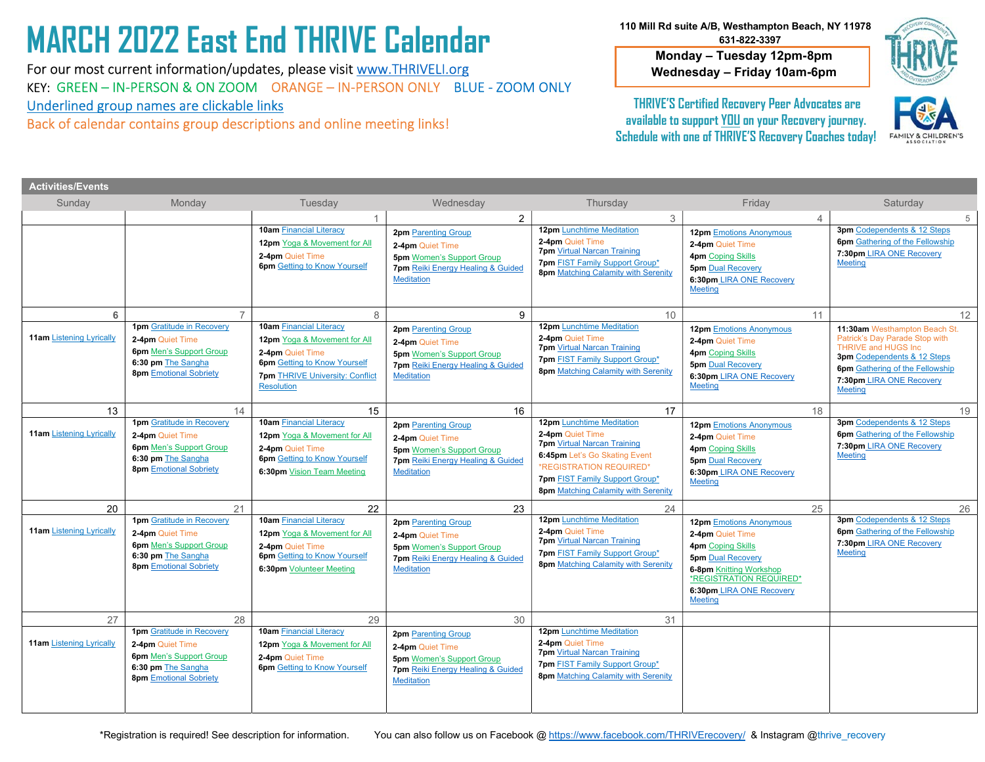# MARCH 2022 East End THRIVE Calendar

 Underlined group names are clickable links For our most current information/updates, please visit www.THRIVELI.org KEY: GREEN – IN-PERSON & ON ZOOM ORANGE – IN-PERSON ONLY BLUE - ZOOM ONLY

Back of calendar contains group descriptions and online meeting links!

 110 Mill Rd suite A/B, Westhampton Beach, NY 11978 631-822-3397

> Monday – Tuesday 12pm-8pm Wednesday – Friday 10am-6pm



THRIVE'S Certified Recovery Peer Advocates are available to support YOU on your Recovery journey. Schedule with one of THRIVE'S Recovery Coaches today!



| <b>Activities/Events</b>        |                                                                                                                                               |                                                                                                                                                                                          |                                                                                                                                                     |                                                                                                                                                                                                                                 |                                                                                                                                                                                                                       |                                                                                                                                                                                                                       |
|---------------------------------|-----------------------------------------------------------------------------------------------------------------------------------------------|------------------------------------------------------------------------------------------------------------------------------------------------------------------------------------------|-----------------------------------------------------------------------------------------------------------------------------------------------------|---------------------------------------------------------------------------------------------------------------------------------------------------------------------------------------------------------------------------------|-----------------------------------------------------------------------------------------------------------------------------------------------------------------------------------------------------------------------|-----------------------------------------------------------------------------------------------------------------------------------------------------------------------------------------------------------------------|
| Sunday                          | Monday                                                                                                                                        | Tuesday                                                                                                                                                                                  | Wednesday                                                                                                                                           | Thursday                                                                                                                                                                                                                        | Friday                                                                                                                                                                                                                | Saturday                                                                                                                                                                                                              |
|                                 |                                                                                                                                               |                                                                                                                                                                                          | $\overline{2}$                                                                                                                                      | 3                                                                                                                                                                                                                               | 4                                                                                                                                                                                                                     | 5                                                                                                                                                                                                                     |
|                                 |                                                                                                                                               | <b>10am Financial Literacy</b><br>12pm Yoga & Movement for All<br>2-4pm Quiet Time<br><b>6pm</b> Getting to Know Yourself                                                                | <b>2pm</b> Parenting Group<br>2-4pm Quiet Time<br><b>5pm</b> Women's Support Group<br>7pm Reiki Energy Healing & Guided<br><b>Meditation</b>        | <b>12pm</b> Lunchtime Meditation<br>2-4pm Quiet Time<br><b>7pm</b> Virtual Narcan Training<br><b>7pm FIST Family Support Group*</b><br><b>8pm Matching Calamity with Serenity</b>                                               | 12pm Emotions Anonymous<br>2-4pm Quiet Time<br><b>4pm</b> Coping Skills<br><b>5pm Dual Recovery</b><br>6:30pm LIRA ONE Recovery<br><b>Meeting</b>                                                                     | 3pm Codependents & 12 Steps<br><b>6pm</b> Gathering of the Fellowship<br>7:30pm LIRA ONE Recovery<br><b>Meeting</b>                                                                                                   |
| 6                               |                                                                                                                                               | 8                                                                                                                                                                                        | 9                                                                                                                                                   | 10                                                                                                                                                                                                                              | 11                                                                                                                                                                                                                    | 12                                                                                                                                                                                                                    |
| <b>11am Listening Lyrically</b> | <b>1pm</b> Gratitude in Recovery<br>2-4pm Quiet Time<br><b>6pm</b> Men's Support Group<br>6:30 pm The Sangha<br><b>8pm</b> Emotional Sobriety | <b>10am Financial Literacy</b><br><b>12pm</b> Yoga & Movement for All<br>2-4pm Quiet Time<br><b>6pm</b> Getting to Know Yourself<br><b>7pm THRIVE University: Conflict</b><br>Resolution | <b>2pm</b> Parenting Group<br>2-4pm Quiet Time<br><b>5pm</b> Women's Support Group<br>7pm Reiki Energy Healing & Guided<br><b>Meditation</b>        | <b>12pm</b> Lunchtime Meditation<br>2-4pm Quiet Time<br><b>7pm</b> Virtual Narcan Training<br>7pm FIST Family Support Group*<br>8pm Matching Calamity with Serenity                                                             | <b>12pm</b> Emotions Anonymous<br>2-4pm Quiet Time<br><b>4pm</b> Coping Skills<br><b>5pm Dual Recovery</b><br>6:30pm LIRA ONE Recovery<br><b>Meeting</b>                                                              | 11:30am Westhampton Beach St.<br>Patrick's Day Parade Stop with<br><b>THRIVE and HUGS Inc.</b><br>3pm Codependents & 12 Steps<br><b>6pm</b> Gathering of the Fellowship<br>7:30pm LIRA ONE Recovery<br><b>Meeting</b> |
| 13                              | 14                                                                                                                                            | 15                                                                                                                                                                                       | 16                                                                                                                                                  | 17                                                                                                                                                                                                                              | 18                                                                                                                                                                                                                    | 19                                                                                                                                                                                                                    |
| <b>11am Listening Lyrically</b> | <b>1pm</b> Gratitude in Recovery<br>2-4pm Quiet Time<br><b>6pm</b> Men's Support Group<br>6:30 pm The Sangha<br><b>8pm</b> Emotional Sobriety | <b>10am Financial Literacy</b><br><b>12pm</b> Yoga & Movement for All<br>2-4pm Quiet Time<br><b>6pm</b> Getting to Know Yourself<br>6:30pm Vision Team Meeting                           | <b>2pm</b> Parenting Group<br>2-4pm Quiet Time<br><b>5pm</b> Women's Support Group<br><b>7pm</b> Reiki Energy Healing & Guided<br><b>Meditation</b> | <b>12pm</b> Lunchtime Meditation<br>2-4pm Quiet Time<br><b>7pm</b> Virtual Narcan Training<br>6:45pm Let's Go Skating Event<br>*REGISTRATION REQUIRED*<br>7pm FIST Family Support Group*<br>8pm Matching Calamity with Serenity | <b>12pm</b> Emotions Anonymous<br>2-4pm Quiet Time<br><b>4pm</b> Coping Skills<br><b>5pm Dual Recovery</b><br>6:30pm LIRA ONE Recovery<br><b>Meeting</b>                                                              | 3pm Codependents & 12 Steps<br><b>6pm</b> Gathering of the Fellowship<br>7:30pm LIRA ONE Recovery<br><b>Meeting</b>                                                                                                   |
| 20                              | 21                                                                                                                                            | 22                                                                                                                                                                                       | 23                                                                                                                                                  | 24                                                                                                                                                                                                                              | 25                                                                                                                                                                                                                    | 26                                                                                                                                                                                                                    |
| <b>11am Listening Lyrically</b> | <b>1pm</b> Gratitude in Recovery<br>2-4pm Quiet Time<br><b>6pm</b> Men's Support Group<br>6:30 pm The Sangha<br><b>8pm</b> Emotional Sobriety | <b>10am Financial Literacy</b><br>12pm Yoga & Movement for All<br>2-4pm Quiet Time<br><b>6pm</b> Getting to Know Yourself<br>6:30pm Volunteer Meeting                                    | <b>2pm</b> Parenting Group<br>2-4pm Quiet Time<br><b>5pm</b> Women's Support Group<br><b>7pm</b> Reiki Energy Healing & Guided<br><b>Meditation</b> | <b>12pm Lunchtime Meditation</b><br>2-4pm Quiet Time<br><b>7pm</b> Virtual Narcan Training<br>7pm FIST Family Support Group*<br>8pm Matching Calamity with Serenity                                                             | <b>12pm</b> Emotions Anonymous<br>2-4pm Quiet Time<br><b>4pm</b> Coping Skills<br><b>5pm Dual Recovery</b><br><b>6-8pm Knitting Workshop</b><br>*REGISTRATION REQUIRED*<br>6:30pm LIRA ONE Recovery<br><b>Meeting</b> | 3pm Codependents & 12 Steps<br><b>6pm</b> Gathering of the Fellowship<br>7:30pm LIRA ONE Recovery<br><b>Meeting</b>                                                                                                   |
| 27                              | 28                                                                                                                                            | 29                                                                                                                                                                                       | 30                                                                                                                                                  | 31                                                                                                                                                                                                                              |                                                                                                                                                                                                                       |                                                                                                                                                                                                                       |
| <b>11am Listening Lyrically</b> | <b>1pm</b> Gratitude in Recovery<br>2-4pm Quiet Time<br><b>6pm</b> Men's Support Group<br>6:30 pm The Sangha<br><b>8pm</b> Emotional Sobriety | <b>10am Financial Literacy</b><br><b>12pm</b> Yoga & Movement for All<br>2-4pm Quiet Time<br><b>6pm</b> Getting to Know Yourself                                                         | 2pm Parenting Group<br>2-4pm Quiet Time<br><b>5pm</b> Women's Support Group<br><b>7pm</b> Reiki Energy Healing & Guided<br><b>Meditation</b>        | <b>12pm</b> Lunchtime Meditation<br>2-4pm Quiet Time<br><b>7pm Virtual Narcan Training</b><br>7pm FIST Family Support Group*<br><b>8pm Matching Calamity with Serenity</b>                                                      |                                                                                                                                                                                                                       |                                                                                                                                                                                                                       |